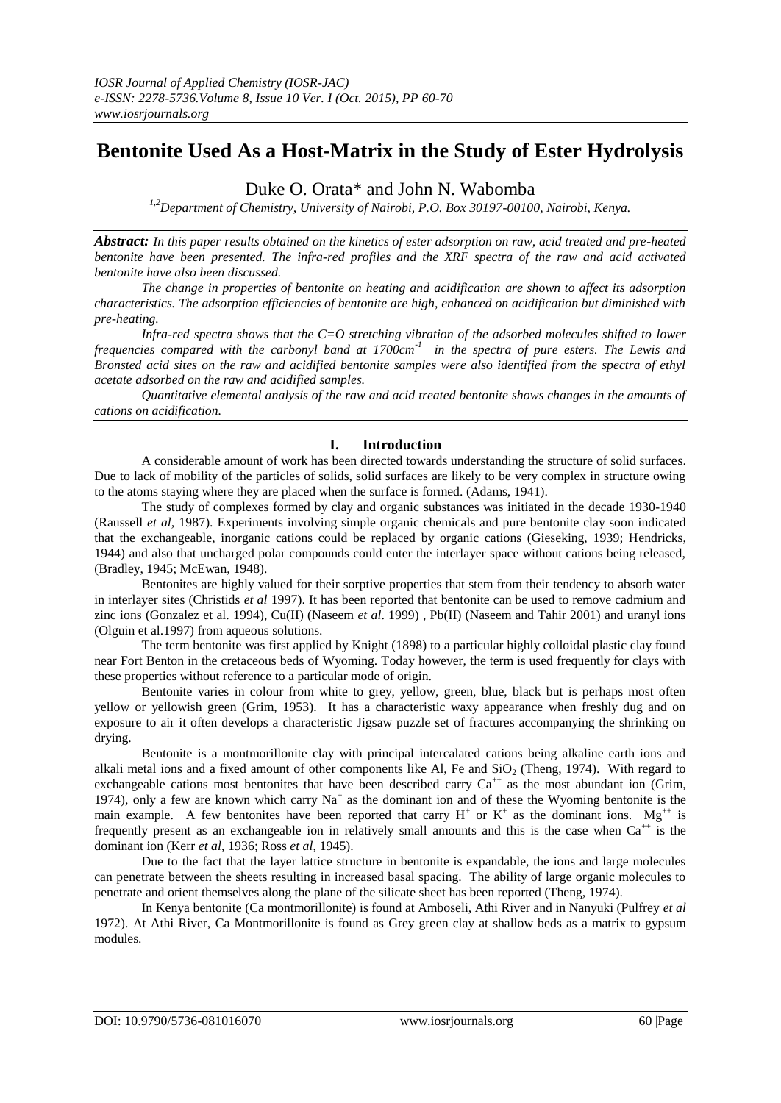# **Bentonite Used As a Host-Matrix in the Study of Ester Hydrolysis**

Duke O. Orata\* and John N. Wabomba

*1,2Department of Chemistry, University of Nairobi, P.O. Box 30197-00100, Nairobi, Kenya.*

*Abstract: In this paper results obtained on the kinetics of ester adsorption on raw, acid treated and pre-heated bentonite have been presented. The infra-red profiles and the XRF spectra of the raw and acid activated bentonite have also been discussed.*

*The change in properties of bentonite on heating and acidification are shown to affect its adsorption characteristics. The adsorption efficiencies of bentonite are high, enhanced on acidification but diminished with pre-heating.*

*Infra-red spectra shows that the C=O stretching vibration of the adsorbed molecules shifted to lower frequencies compared with the carbonyl band at 1700cm-1 in the spectra of pure esters. The Lewis and Bronsted acid sites on the raw and acidified bentonite samples were also identified from the spectra of ethyl acetate adsorbed on the raw and acidified samples.*

*Quantitative elemental analysis of the raw and acid treated bentonite shows changes in the amounts of cations on acidification.*

# **I. Introduction**

A considerable amount of work has been directed towards understanding the structure of solid surfaces. Due to lack of mobility of the particles of solids, solid surfaces are likely to be very complex in structure owing to the atoms staying where they are placed when the surface is formed. (Adams, 1941).

The study of complexes formed by clay and organic substances was initiated in the decade 1930-1940 (Raussell *et al,* 1987). Experiments involving simple organic chemicals and pure bentonite clay soon indicated that the exchangeable, inorganic cations could be replaced by organic cations (Gieseking, 1939; Hendricks, 1944) and also that uncharged polar compounds could enter the interlayer space without cations being released, (Bradley, 1945; McEwan, 1948).

Bentonites are highly valued for their sorptive properties that stem from their tendency to absorb water in interlayer sites (Christids *et al* 1997). It has been reported that bentonite can be used to remove cadmium and zinc ions (Gonzalez et al. 1994), Cu(II) (Naseem *et al*. 1999) , Pb(II) (Naseem and Tahir 2001) and uranyl ions (Olguin et al.1997) from aqueous solutions.

The term bentonite was first applied by Knight (1898) to a particular highly colloidal plastic clay found near Fort Benton in the cretaceous beds of Wyoming. Today however, the term is used frequently for clays with these properties without reference to a particular mode of origin.

Bentonite varies in colour from white to grey, yellow, green, blue, black but is perhaps most often yellow or yellowish green (Grim, 1953). It has a characteristic waxy appearance when freshly dug and on exposure to air it often develops a characteristic Jigsaw puzzle set of fractures accompanying the shrinking on drying.

Bentonite is a montmorillonite clay with principal intercalated cations being alkaline earth ions and alkali metal ions and a fixed amount of other components like Al, Fe and  $SiO<sub>2</sub>$  (Theng, 1974). With regard to exchangeable cations most bentonites that have been described carry  $Ca^{++}$  as the most abundant ion (Grim, 1974), only a few are known which carry  $Na<sup>+</sup>$  as the dominant ion and of these the Wyoming bentonite is the main example. A few bentonites have been reported that carry  $H^+$  or  $K^+$  as the dominant ions. Mg<sup>++</sup> is frequently present as an exchangeable ion in relatively small amounts and this is the case when  $Ca^{++}$  is the dominant ion (Kerr *et al,* 1936; Ross *et al*, 1945).

Due to the fact that the layer lattice structure in bentonite is expandable, the ions and large molecules can penetrate between the sheets resulting in increased basal spacing. The ability of large organic molecules to penetrate and orient themselves along the plane of the silicate sheet has been reported (Theng, 1974).

In Kenya bentonite (Ca montmorillonite) is found at Amboseli, Athi River and in Nanyuki (Pulfrey *et al* 1972). At Athi River, Ca Montmorillonite is found as Grey green clay at shallow beds as a matrix to gypsum modules.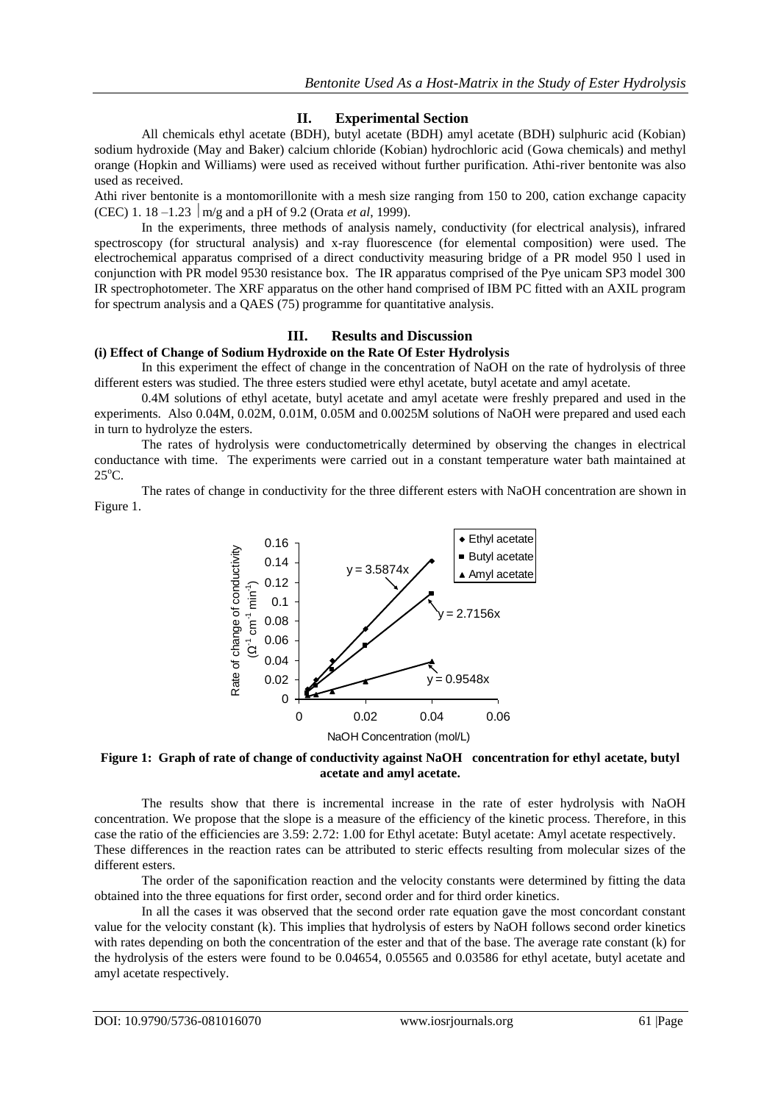## **II. Experimental Section**

All chemicals ethyl acetate (BDH), butyl acetate (BDH) amyl acetate (BDH) sulphuric acid (Kobian) sodium hydroxide (May and Baker) calcium chloride (Kobian) hydrochloric acid (Gowa chemicals) and methyl orange (Hopkin and Williams) were used as received without further purification. Athi-river bentonite was also used as received.

Athi river bentonite is a montomorillonite with a mesh size ranging from 150 to 200, cation exchange capacity (CEC) 1. 18 –1.23  $\vert$  m/g and a pH of 9.2 (Orata *et al.* 1999).

In the experiments, three methods of analysis namely, conductivity (for electrical analysis), infrared spectroscopy (for structural analysis) and x-ray fluorescence (for elemental composition) were used. The electrochemical apparatus comprised of a direct conductivity measuring bridge of a PR model 950 l used in conjunction with PR model 9530 resistance box. The IR apparatus comprised of the Pye unicam SP3 model 300 IR spectrophotometer. The XRF apparatus on the other hand comprised of IBM PC fitted with an AXIL program for spectrum analysis and a QAES (75) programme for quantitative analysis.

# **III. Results and Discussion**

## **(i) Effect of Change of Sodium Hydroxide on the Rate Of Ester Hydrolysis**

In this experiment the effect of change in the concentration of NaOH on the rate of hydrolysis of three different esters was studied. The three esters studied were ethyl acetate, butyl acetate and amyl acetate.

0.4M solutions of ethyl acetate, butyl acetate and amyl acetate were freshly prepared and used in the experiments. Also 0.04M, 0.02M, 0.01M, 0.05M and 0.0025M solutions of NaOH were prepared and used each in turn to hydrolyze the esters.

The rates of hydrolysis were conductometrically determined by observing the changes in electrical conductance with time. The experiments were carried out in a constant temperature water bath maintained at  $25^{\circ}$ C.

The rates of change in conductivity for the three different esters with NaOH concentration are shown in Figure 1.



## **Figure 1: Graph of rate of change of conductivity against NaOH concentration for ethyl acetate, butyl acetate and amyl acetate.**

The results show that there is incremental increase in the rate of ester hydrolysis with NaOH concentration. We propose that the slope is a measure of the efficiency of the kinetic process. Therefore, in this case the ratio of the efficiencies are 3.59: 2.72: 1.00 for Ethyl acetate: Butyl acetate: Amyl acetate respectively. These differences in the reaction rates can be attributed to steric effects resulting from molecular sizes of the different esters.

The order of the saponification reaction and the velocity constants were determined by fitting the data obtained into the three equations for first order, second order and for third order kinetics.

In all the cases it was observed that the second order rate equation gave the most concordant constant value for the velocity constant (k). This implies that hydrolysis of esters by NaOH follows second order kinetics with rates depending on both the concentration of the ester and that of the base. The average rate constant (k) for the hydrolysis of the esters were found to be 0.04654, 0.05565 and 0.03586 for ethyl acetate, butyl acetate and amyl acetate respectively.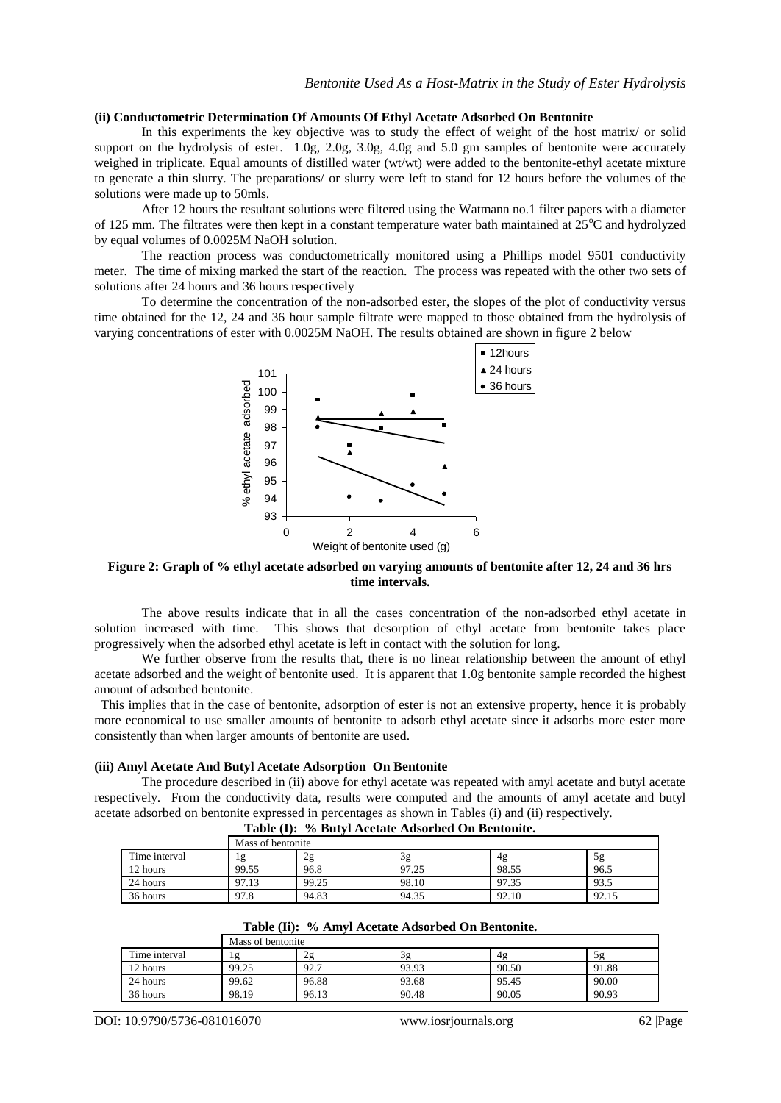#### **(ii) Conductometric Determination Of Amounts Of Ethyl Acetate Adsorbed On Bentonite**

In this experiments the key objective was to study the effect of weight of the host matrix/ or solid support on the hydrolysis of ester. 1.0g, 2.0g, 3.0g, 4.0g and 5.0 gm samples of bentonite were accurately weighed in triplicate. Equal amounts of distilled water (wt/wt) were added to the bentonite-ethyl acetate mixture to generate a thin slurry. The preparations/ or slurry were left to stand for 12 hours before the volumes of the solutions were made up to 50mls.

After 12 hours the resultant solutions were filtered using the Watmann no.1 filter papers with a diameter of 125 mm. The filtrates were then kept in a constant temperature water bath maintained at  $25^{\circ}$ C and hydrolyzed by equal volumes of 0.0025M NaOH solution.

The reaction process was conductometrically monitored using a Phillips model 9501 conductivity meter. The time of mixing marked the start of the reaction. The process was repeated with the other two sets of solutions after 24 hours and 36 hours respectively

To determine the concentration of the non-adsorbed ester, the slopes of the plot of conductivity versus time obtained for the 12, 24 and 36 hour sample filtrate were mapped to those obtained from the hydrolysis of varying concentrations of ester with 0.0025M NaOH. The results obtained are shown in figure 2 below



**Figure 2: Graph of % ethyl acetate adsorbed on varying amounts of bentonite after 12, 24 and 36 hrs time intervals.**

The above results indicate that in all the cases concentration of the non-adsorbed ethyl acetate in solution increased with time. This shows that desorption of ethyl acetate from bentonite takes place progressively when the adsorbed ethyl acetate is left in contact with the solution for long.

We further observe from the results that, there is no linear relationship between the amount of ethyl acetate adsorbed and the weight of bentonite used. It is apparent that 1.0g bentonite sample recorded the highest amount of adsorbed bentonite.

 This implies that in the case of bentonite, adsorption of ester is not an extensive property, hence it is probably more economical to use smaller amounts of bentonite to adsorb ethyl acetate since it adsorbs more ester more consistently than when larger amounts of bentonite are used.

#### **(iii) Amyl Acetate And Butyl Acetate Adsorption On Bentonite**

The procedure described in (ii) above for ethyl acetate was repeated with amyl acetate and butyl acetate respectively. From the conductivity data, results were computed and the amounts of amyl acetate and butyl acetate adsorbed on bentonite expressed in percentages as shown in Tables (i) and (ii) respectively.

|               | Mass of bentonite |       |       |       |       |
|---------------|-------------------|-------|-------|-------|-------|
| Time interval | . 2               | 2g    | 3g    | 4g    | 25    |
| 12 hours      | 99.55             | 96.8  | 97.25 | 98.55 | 96.5  |
| 24 hours      | 97.13             | 99.25 | 98.10 | 97.35 | 93.5  |
| 36 hours      | 97.8              | 94.83 | 94.35 | 92.10 | 92.15 |

**Table (I): % Butyl Acetate Adsorbed On Bentonite.**

|  |  | Table (Ii): % Amyl Acetate Adsorbed On Bentonite. |  |  |
|--|--|---------------------------------------------------|--|--|
|--|--|---------------------------------------------------|--|--|

|               | Mass of bentonite |       |       |       |       |
|---------------|-------------------|-------|-------|-------|-------|
| Time interval | 1g                | 2g    | зg    | 4g    | 5g    |
| 12 hours      | 99.25             | 92.7  | 93.93 | 90.50 | 91.88 |
| 24 hours      | 99.62             | 96.88 | 93.68 | 95.45 | 90.00 |
| 36 hours      | 98.19             | 96.13 | 90.48 | 90.05 | 90.93 |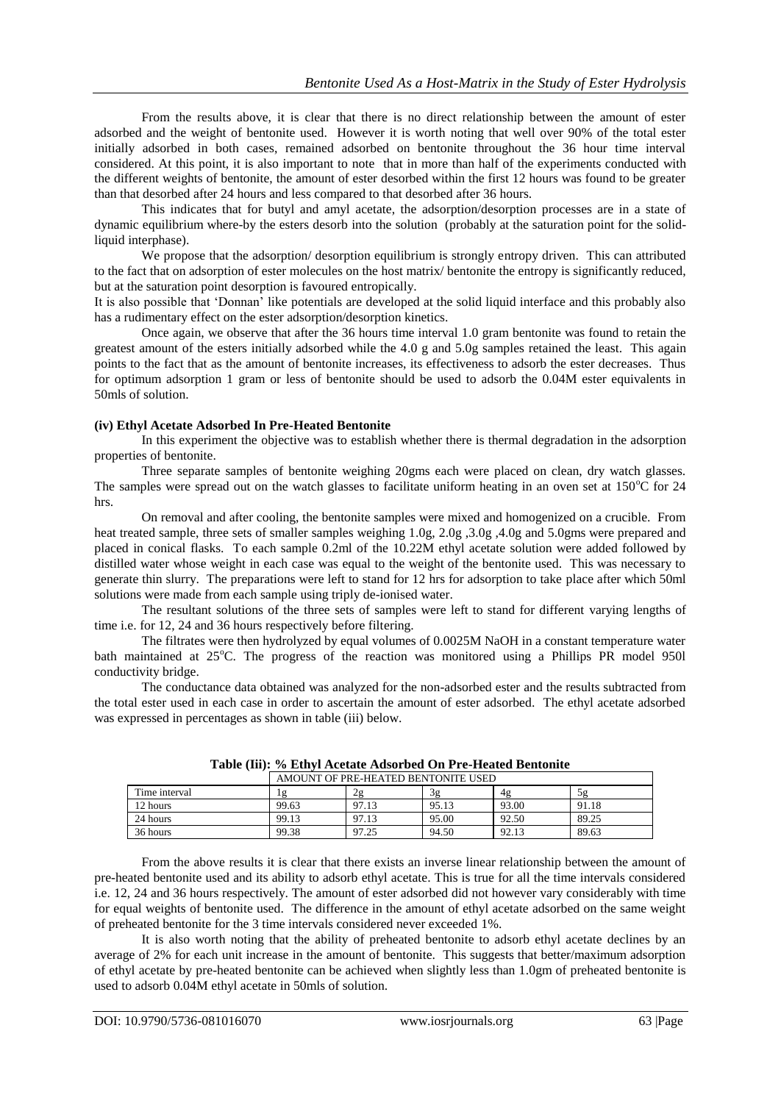From the results above, it is clear that there is no direct relationship between the amount of ester adsorbed and the weight of bentonite used. However it is worth noting that well over 90% of the total ester initially adsorbed in both cases, remained adsorbed on bentonite throughout the 36 hour time interval considered. At this point, it is also important to note that in more than half of the experiments conducted with the different weights of bentonite, the amount of ester desorbed within the first 12 hours was found to be greater than that desorbed after 24 hours and less compared to that desorbed after 36 hours.

This indicates that for butyl and amyl acetate, the adsorption/desorption processes are in a state of dynamic equilibrium where-by the esters desorb into the solution (probably at the saturation point for the solidliquid interphase).

We propose that the adsorption/ desorption equilibrium is strongly entropy driven. This can attributed to the fact that on adsorption of ester molecules on the host matrix/ bentonite the entropy is significantly reduced, but at the saturation point desorption is favoured entropically.

It is also possible that "Donnan" like potentials are developed at the solid liquid interface and this probably also has a rudimentary effect on the ester adsorption/desorption kinetics.

Once again, we observe that after the 36 hours time interval 1.0 gram bentonite was found to retain the greatest amount of the esters initially adsorbed while the 4.0 g and 5.0g samples retained the least. This again points to the fact that as the amount of bentonite increases, its effectiveness to adsorb the ester decreases. Thus for optimum adsorption 1 gram or less of bentonite should be used to adsorb the 0.04M ester equivalents in 50mls of solution.

### **(iv) Ethyl Acetate Adsorbed In Pre-Heated Bentonite**

In this experiment the objective was to establish whether there is thermal degradation in the adsorption properties of bentonite.

Three separate samples of bentonite weighing 20gms each were placed on clean, dry watch glasses. The samples were spread out on the watch glasses to facilitate uniform heating in an oven set at  $150^{\circ}$ C for  $24$ hrs.

On removal and after cooling, the bentonite samples were mixed and homogenized on a crucible. From heat treated sample, three sets of smaller samples weighing 1.0g, 2.0g, 3.0g ,4.0g and 5.0gms were prepared and placed in conical flasks. To each sample 0.2ml of the 10.22M ethyl acetate solution were added followed by distilled water whose weight in each case was equal to the weight of the bentonite used. This was necessary to generate thin slurry. The preparations were left to stand for 12 hrs for adsorption to take place after which 50ml solutions were made from each sample using triply de-ionised water.

The resultant solutions of the three sets of samples were left to stand for different varying lengths of time i.e. for 12, 24 and 36 hours respectively before filtering.

The filtrates were then hydrolyzed by equal volumes of 0.0025M NaOH in a constant temperature water bath maintained at  $25^{\circ}$ C. The progress of the reaction was monitored using a Phillips PR model 950l conductivity bridge.

The conductance data obtained was analyzed for the non-adsorbed ester and the results subtracted from the total ester used in each case in order to ascertain the amount of ester adsorbed. The ethyl acetate adsorbed was expressed in percentages as shown in table (iii) below.

|               | AMOUNT OF PRE-HEATED BENTONITE USED |       |       |       |       |
|---------------|-------------------------------------|-------|-------|-------|-------|
| Time interval | 1g                                  | 2g    | 3g    | 4g    | 58    |
| 12 hours      | 99.63                               | 97.13 | 95.13 | 93.00 | 91.18 |
| 24 hours      | 99.13                               | 97.13 | 95.00 | 92.50 | 89.25 |
| 36 hours      | 99.38                               | 97.25 | 94.50 | 92.13 | 89.63 |

**Table (Iii): % Ethyl Acetate Adsorbed On Pre-Heated Bentonite**

From the above results it is clear that there exists an inverse linear relationship between the amount of pre-heated bentonite used and its ability to adsorb ethyl acetate. This is true for all the time intervals considered i.e. 12, 24 and 36 hours respectively. The amount of ester adsorbed did not however vary considerably with time for equal weights of bentonite used. The difference in the amount of ethyl acetate adsorbed on the same weight of preheated bentonite for the 3 time intervals considered never exceeded 1%.

It is also worth noting that the ability of preheated bentonite to adsorb ethyl acetate declines by an average of 2% for each unit increase in the amount of bentonite. This suggests that better/maximum adsorption of ethyl acetate by pre-heated bentonite can be achieved when slightly less than 1.0gm of preheated bentonite is used to adsorb 0.04M ethyl acetate in 50mls of solution.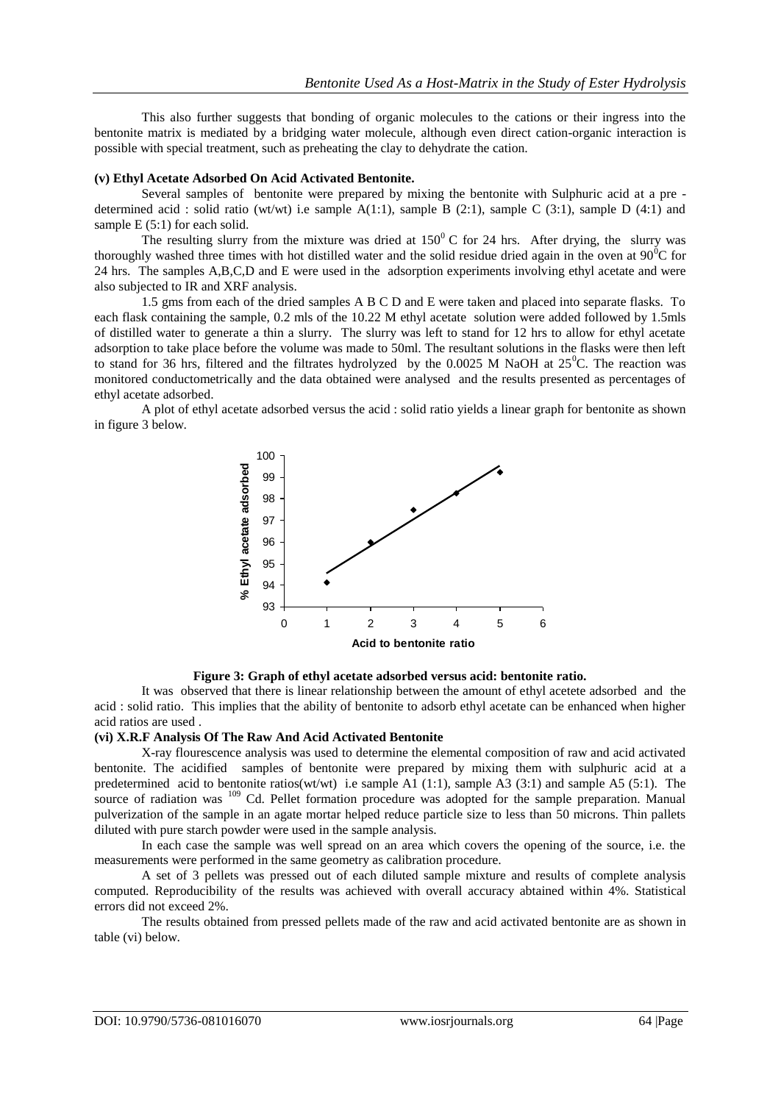This also further suggests that bonding of organic molecules to the cations or their ingress into the bentonite matrix is mediated by a bridging water molecule, although even direct cation-organic interaction is possible with special treatment, such as preheating the clay to dehydrate the cation.

#### **(v) Ethyl Acetate Adsorbed On Acid Activated Bentonite.**

Several samples of bentonite were prepared by mixing the bentonite with Sulphuric acid at a pre determined acid : solid ratio (wt/wt) i.e sample  $A(1:1)$ , sample B (2:1), sample C (3:1), sample D (4:1) and sample E (5:1) for each solid.

The resulting slurry from the mixture was dried at  $150^{\circ}$  C for 24 hrs. After drying, the slurry was thoroughly washed three times with hot distilled water and the solid residue dried again in the oven at  $90^{\circ}$ C for 24 hrs. The samples A,B,C,D and E were used in the adsorption experiments involving ethyl acetate and were also subjected to IR and XRF analysis.

1.5 gms from each of the dried samples A B C D and E were taken and placed into separate flasks. To each flask containing the sample, 0.2 mls of the 10.22 M ethyl acetate solution were added followed by 1.5mls of distilled water to generate a thin a slurry. The slurry was left to stand for 12 hrs to allow for ethyl acetate adsorption to take place before the volume was made to 50ml. The resultant solutions in the flasks were then left to stand for 36 hrs, filtered and the filtrates hydrolyzed by the 0.0025 M NaOH at  $25^{\circ}$ C. The reaction was monitored conductometrically and the data obtained were analysed and the results presented as percentages of ethyl acetate adsorbed.

A plot of ethyl acetate adsorbed versus the acid : solid ratio yields a linear graph for bentonite as shown in figure 3 below.





It was observed that there is linear relationship between the amount of ethyl acetete adsorbed and the acid : solid ratio. This implies that the ability of bentonite to adsorb ethyl acetate can be enhanced when higher acid ratios are used .

### **(vi) X.R.F Analysis Of The Raw And Acid Activated Bentonite**

X-ray flourescence analysis was used to determine the elemental composition of raw and acid activated bentonite. The acidified samples of bentonite were prepared by mixing them with sulphuric acid at a predetermined acid to bentonite ratios(wt/wt) i.e sample A1 (1:1), sample A3 (3:1) and sample A5 (5:1). The source of radiation was <sup>109</sup> Cd. Pellet formation procedure was adopted for the sample preparation. Manual pulverization of the sample in an agate mortar helped reduce particle size to less than 50 microns. Thin pallets diluted with pure starch powder were used in the sample analysis.

In each case the sample was well spread on an area which covers the opening of the source, i.e. the measurements were performed in the same geometry as calibration procedure.

A set of 3 pellets was pressed out of each diluted sample mixture and results of complete analysis computed. Reproducibility of the results was achieved with overall accuracy abtained within 4%. Statistical errors did not exceed 2%.

The results obtained from pressed pellets made of the raw and acid activated bentonite are as shown in table (vi) below.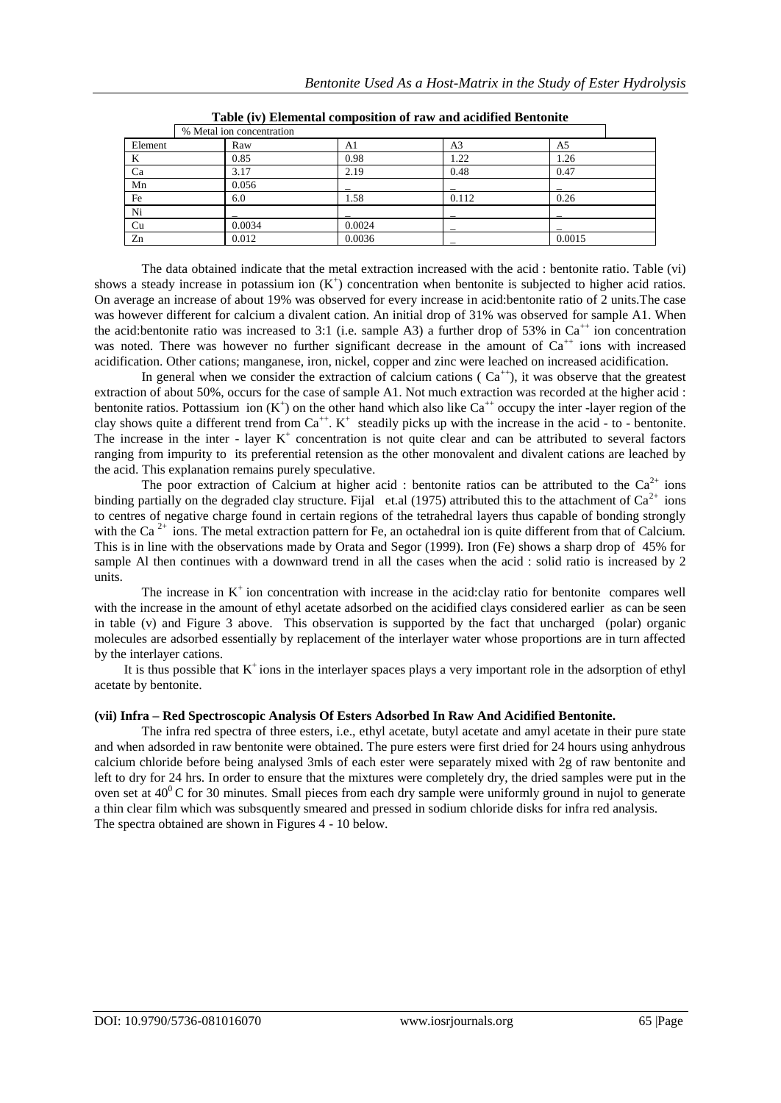|         | % Metal ion concentration |        |       |        |
|---------|---------------------------|--------|-------|--------|
| Element | Raw                       | Al     | A3    | A5     |
| K       | 0.85                      | 0.98   | 1.22  | 1.26   |
| Ca      | 3.17                      | 2.19   | 0.48  | 0.47   |
| Mn      | 0.056                     |        |       |        |
| Fe      | 6.0                       | 1.58   | 0.112 | 0.26   |
| Ni      |                           |        |       |        |
| Cu      | 0.0034                    | 0.0024 |       |        |
| Zn      | 0.012                     | 0.0036 |       | 0.0015 |

**Table (iv) Elemental composition of raw and acidified Bentonite**

The data obtained indicate that the metal extraction increased with the acid : bentonite ratio. Table (vi) shows a steady increase in potassium ion  $(K^+)$  concentration when bentonite is subjected to higher acid ratios. On average an increase of about 19% was observed for every increase in acid:bentonite ratio of 2 units.The case was however different for calcium a divalent cation. An initial drop of 31% was observed for sample A1. When the acid:bentonite ratio was increased to 3:1 (i.e. sample A3) a further drop of 53% in  $Ca<sup>++</sup>$  ion concentration was noted. There was however no further significant decrease in the amount of  $Ca^{++}$  ions with increased acidification. Other cations; manganese, iron, nickel, copper and zinc were leached on increased acidification.

In general when we consider the extraction of calcium cations ( $Ca<sup>++</sup>$ ), it was observe that the greatest extraction of about 50%, occurs for the case of sample A1. Not much extraction was recorded at the higher acid : bentonite ratios. Pottassium ion  $(K^+)$  on the other hand which also like Ca<sup>++</sup> occupy the inter -layer region of the clay shows quite a different trend from  $Ca^{++}$ .  $K^+$  steadily picks up with the increase in the acid - to - bentonite. The increase in the inter - layer  $K^+$  concentration is not quite clear and can be attributed to several factors ranging from impurity to its preferential retension as the other monovalent and divalent cations are leached by the acid. This explanation remains purely speculative.

The poor extraction of Calcium at higher acid : bentonite ratios can be attributed to the  $Ca^{2+}$  ions binding partially on the degraded clay structure. Fijal et.al (1975) attributed this to the attachment of  $Ca^{2+}$  ions to centres of negative charge found in certain regions of the tetrahedral layers thus capable of bonding strongly with the Ca<sup>2+</sup> ions. The metal extraction pattern for Fe, an octahedral ion is quite different from that of Calcium. This is in line with the observations made by Orata and Segor (1999). Iron (Fe) shows a sharp drop of 45% for sample Al then continues with a downward trend in all the cases when the acid : solid ratio is increased by 2 units.

The increase in  $K^+$  ion concentration with increase in the acid:clay ratio for bentonite compares well with the increase in the amount of ethyl acetate adsorbed on the acidified clays considered earlier as can be seen in table (v) and Figure 3 above. This observation is supported by the fact that uncharged (polar) organic molecules are adsorbed essentially by replacement of the interlayer water whose proportions are in turn affected by the interlayer cations.

It is thus possible that  $K^+$  ions in the interlayer spaces plays a very important role in the adsorption of ethyl acetate by bentonite.

## **(vii) Infra – Red Spectroscopic Analysis Of Esters Adsorbed In Raw And Acidified Bentonite.**

The infra red spectra of three esters, i.e., ethyl acetate, butyl acetate and amyl acetate in their pure state and when adsorded in raw bentonite were obtained. The pure esters were first dried for 24 hours using anhydrous calcium chloride before being analysed 3mls of each ester were separately mixed with 2g of raw bentonite and left to dry for 24 hrs. In order to ensure that the mixtures were completely dry, the dried samples were put in the oven set at  $40^{\circ}$ C for 30 minutes. Small pieces from each dry sample were uniformly ground in nujol to generate a thin clear film which was subsquently smeared and pressed in sodium chloride disks for infra red analysis. The spectra obtained are shown in Figures 4 - 10 below.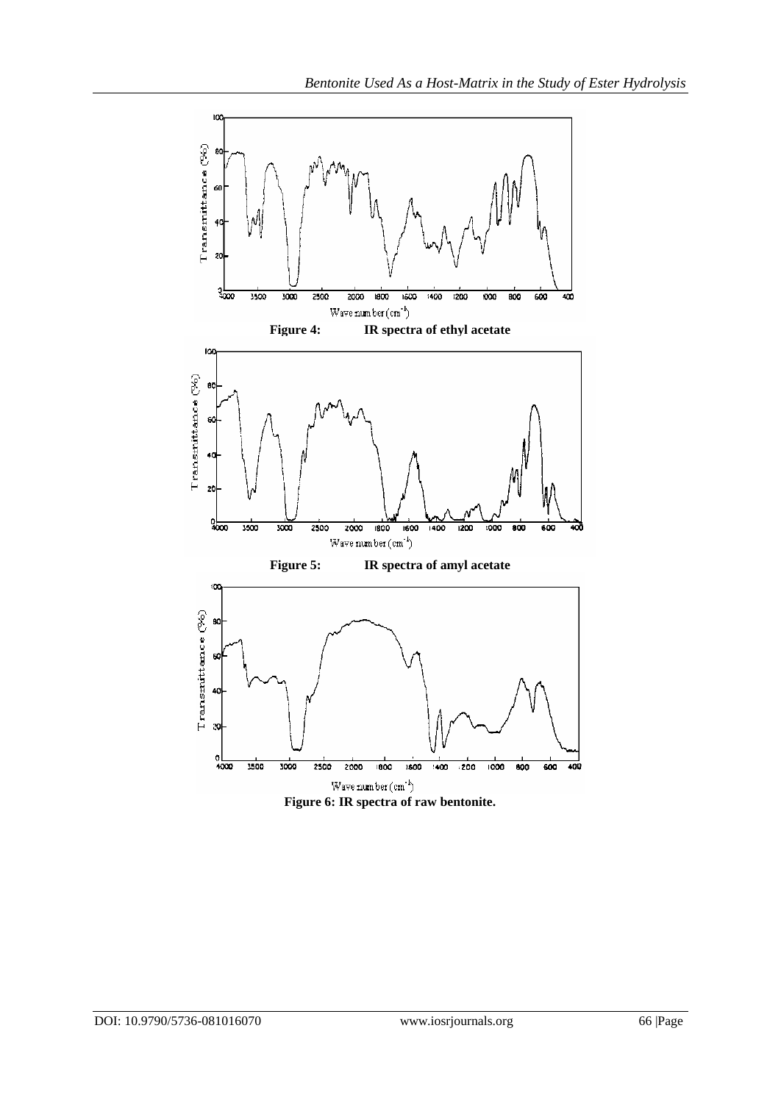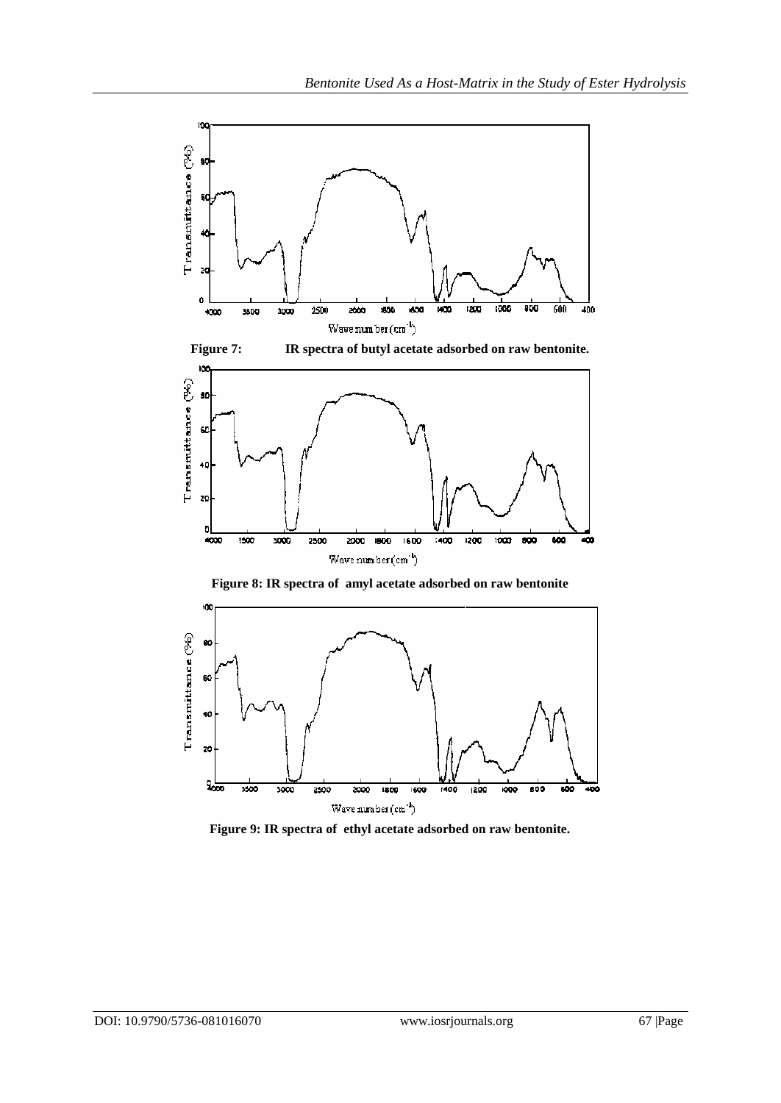



**Figure 9: IR spectra of ethyl acetate adsorbed on raw bentonite.**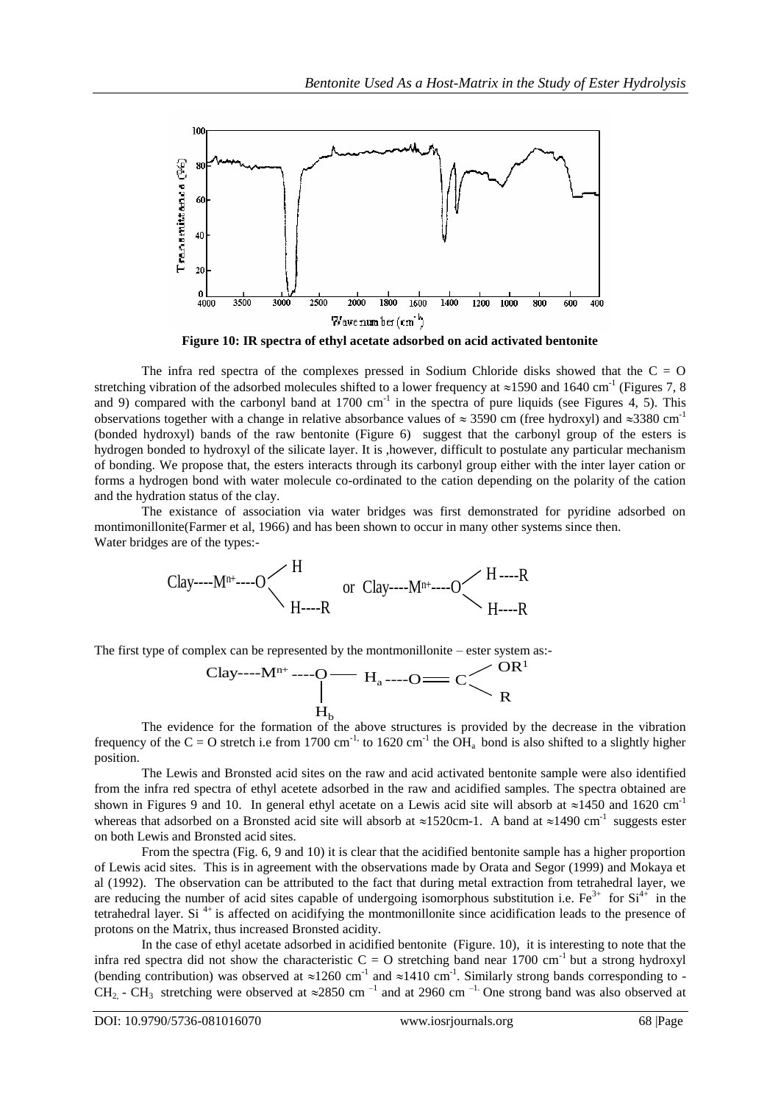

**Figure 10: IR spectra of ethyl acetate adsorbed on acid activated bentonite**

The infra red spectra of the complexes pressed in Sodium Chloride disks showed that the  $C = O$ stretching vibration of the adsorbed molecules shifted to a lower frequency at  $\approx$ 1590 and 1640 cm<sup>-1</sup> (Figures 7, 8) and 9) compared with the carbonyl band at  $1700 \text{ cm}^{-1}$  in the spectra of pure liquids (see Figures 4, 5). This observations together with a change in relative absorbance values of  $\approx$  3590 cm (free hydroxyl) and  $\approx$ 3380 cm<sup>-1</sup> (bonded hydroxyl) bands of the raw bentonite (Figure 6) suggest that the carbonyl group of the esters is hydrogen bonded to hydroxyl of the silicate layer. It is ,however, difficult to postulate any particular mechanism of bonding. We propose that, the esters interacts through its carbonyl group either with the inter layer cation or forms a hydrogen bond with water molecule co-ordinated to the cation depending on the polarity of the cation and the hydration status of the clay.

The existance of association via water bridges was first demonstrated for pyridine adsorbed on montimonillonite(Farmer et al, 1966) and has been shown to occur in many other systems since then. Water bridges are of the types:-

$$
Clay---Mn+---O
$$
   
  $H$  or  $Clay---Mn+---O$   $H$ ---R  $H$ ---R  $H$ 

The first type of complex can be represented by the montmonillonite – ester system as:-

$$
\text{Clay}^{....M^{n+}} \text{---} O \textcolor{red}{\overbrace{\qquad \qquad }^{H_{a}}}_{H_{b}} \text{---} O \textcolor{red}{\overbrace{\qquad \qquad }^{C}}_{R} \textcolor{red}{\overbrace{\qquad \qquad }^{C}}_{R}
$$

The evidence for the formation of the above structures is provided by the decrease in the vibration frequency of the C = O stretch i.e from 1700 cm<sup>-1,</sup> to 1620 cm<sup>-1</sup> the OH<sub>a</sub> bond is also shifted to a slightly higher position.

The Lewis and Bronsted acid sites on the raw and acid activated bentonite sample were also identified from the infra red spectra of ethyl acetete adsorbed in the raw and acidified samples. The spectra obtained are shown in Figures 9 and 10. In general ethyl acetate on a Lewis acid site will absorb at  $\approx$ 1450 and 1620 cm<sup>-1</sup> whereas that adsorbed on a Bronsted acid site will absorb at  $\approx$ 1520cm-1. A band at  $\approx$ 1490 cm<sup>-1</sup> suggests ester on both Lewis and Bronsted acid sites.

From the spectra (Fig. 6, 9 and 10) it is clear that the acidified bentonite sample has a higher proportion of Lewis acid sites. This is in agreement with the observations made by Orata and Segor (1999) and Mokaya et al (1992). The observation can be attributed to the fact that during metal extraction from tetrahedral layer, we are reducing the number of acid sites capable of undergoing isomorphous substitution i.e.  $Fe^{3+}$  for  $Si^{4+}$  in the tetrahedral layer. Si<sup>4+</sup> is affected on acidifying the montmonillonite since acidification leads to the presence of protons on the Matrix, thus increased Bronsted acidity.

In the case of ethyl acetate adsorbed in acidified bentonite (Figure. 10), it is interesting to note that the infra red spectra did not show the characteristic  $C = O$  stretching band near 1700 cm<sup>-1</sup> but a strong hydroxyl (bending contribution) was observed at  $\approx 1260$  cm<sup>-1</sup> and  $\approx 1410$  cm<sup>-1</sup>. Similarly strong bands corresponding to -CH<sub>2,</sub> - CH<sub>3</sub> stretching were observed at  $\approx$ 2850 cm<sup>-1</sup> and at 2960 cm<sup>-1.</sup> One strong band was also observed at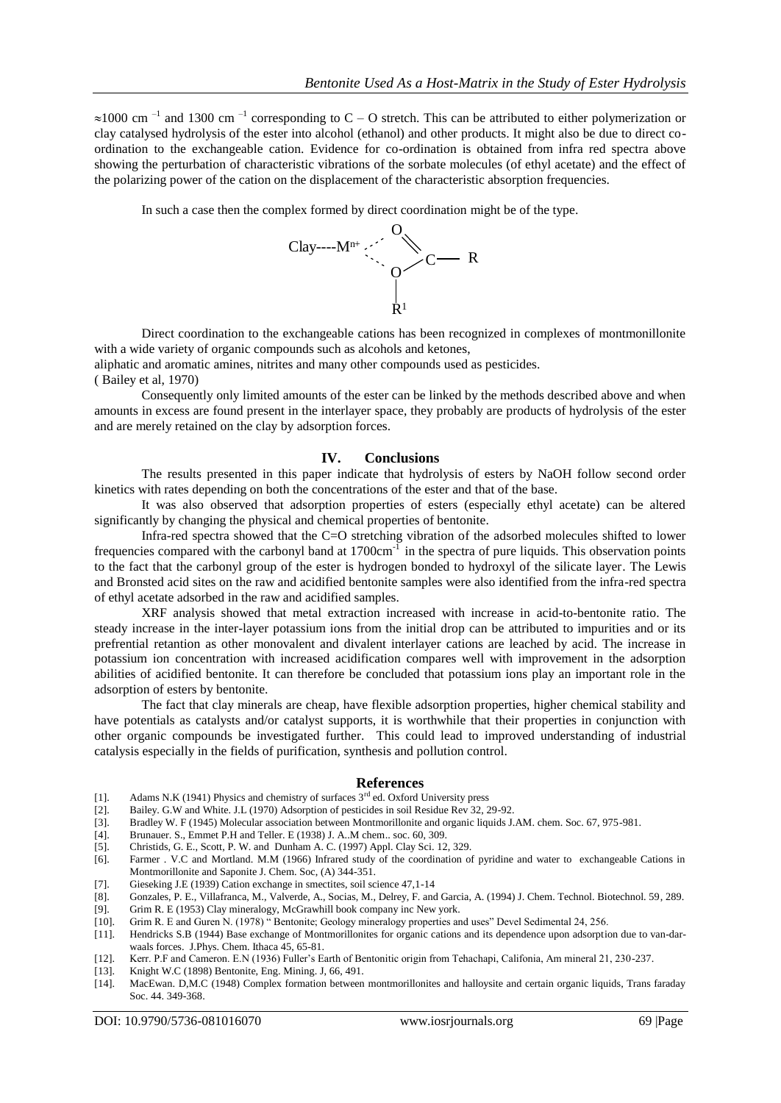$\approx$ 1000 cm<sup>-1</sup> and 1300 cm<sup>-1</sup> corresponding to C – O stretch. This can be attributed to either polymerization or clay catalysed hydrolysis of the ester into alcohol (ethanol) and other products. It might also be due to direct coordination to the exchangeable cation. Evidence for co-ordination is obtained from infra red spectra above showing the perturbation of characteristic vibrations of the sorbate molecules (of ethyl acetate) and the effect of the polarizing power of the cation on the displacement of the characteristic absorption frequencies.

In such a case then the complex formed by direct coordination might be of the type.



Direct coordination to the exchangeable cations has been recognized in complexes of montmonillonite with a wide variety of organic compounds such as alcohols and ketones,

aliphatic and aromatic amines, nitrites and many other compounds used as pesticides. ( Bailey et al, 1970)

Consequently only limited amounts of the ester can be linked by the methods described above and when amounts in excess are found present in the interlayer space, they probably are products of hydrolysis of the ester and are merely retained on the clay by adsorption forces.

#### **IV. Conclusions**

The results presented in this paper indicate that hydrolysis of esters by NaOH follow second order kinetics with rates depending on both the concentrations of the ester and that of the base.

It was also observed that adsorption properties of esters (especially ethyl acetate) can be altered significantly by changing the physical and chemical properties of bentonite.

Infra-red spectra showed that the C=O stretching vibration of the adsorbed molecules shifted to lower frequencies compared with the carbonyl band at 1700cm<sup>-1</sup> in the spectra of pure liquids. This observation points to the fact that the carbonyl group of the ester is hydrogen bonded to hydroxyl of the silicate layer. The Lewis and Bronsted acid sites on the raw and acidified bentonite samples were also identified from the infra-red spectra of ethyl acetate adsorbed in the raw and acidified samples.

XRF analysis showed that metal extraction increased with increase in acid-to-bentonite ratio. The steady increase in the inter-layer potassium ions from the initial drop can be attributed to impurities and or its prefrential retantion as other monovalent and divalent interlayer cations are leached by acid. The increase in potassium ion concentration with increased acidification compares well with improvement in the adsorption abilities of acidified bentonite. It can therefore be concluded that potassium ions play an important role in the adsorption of esters by bentonite.

The fact that clay minerals are cheap, have flexible adsorption properties, higher chemical stability and have potentials as catalysts and/or catalyst supports, it is worthwhile that their properties in conjunction with other organic compounds be investigated further. This could lead to improved understanding of industrial catalysis especially in the fields of purification, synthesis and pollution control.

#### **References**

- [1]. Adams N.K (1941) Physics and chemistry of surfaces 3<sup>rd</sup> ed. Oxford University press
- [2]. Bailey. G.W and White. J.L (1970) Adsorption of pesticides in soil Residue Rev 32, 29-92.
- [3]. Bradley W. F (1945) Molecular association between Montmorillonite and organic liquids J.AM. chem. Soc. 67, 975-981.
- [4]. Brunauer. S., Emmet P.H and Teller. E (1938) J. A..M chem.. soc. 60, 309.
- [5]. Christids, G. E., Scott, P. W. and Dunham A. C. (1997) Appl. Clay Sci. 12, 329.
- [6]. Farmer . V.C and Mortland. M.M (1966) Infrared study of the coordination of pyridine and water to exchangeable Cations in Montmorillonite and Saponite J. Chem. Soc, (A) 344-351.
- [7]. Gieseking J.E (1939) Cation exchange in smectites, soil science 47,1-14
- [8]. Gonzales, P. E., Villafranca, M., Valverde, A., Socias, M., Delrey, F. and Garcia, A. (1994) J. Chem. Technol. Biotechnol. 59, 289. [9]. Grim R. E (1953) Clay mineralogy, McGrawhill book company inc New york.
- Grim R. E (1953) Clay mineralogy, McGrawhill book company inc New york.
- [10]. Grim R. E and Guren N. (1978) " Bentonite; Geology mineralogy properties and uses" Devel Sedimental 24, 256.
- [11]. Hendricks S.B (1944) Base exchange of Montmorillonites for organic cations and its dependence upon adsorption due to van-darwaals forces. J.Phys. Chem. Ithaca 45, 65-81.
- [12]. Kerr. P.F and Cameron. E.N (1936) Fuller"s Earth of Bentonitic origin from Tehachapi, Califonia, Am mineral 21, 230-237.
- Knight W.C (1898) Bentonite, Eng. Mining. J, 66, 491.
- [14]. MacEwan. D,M.C (1948) Complex formation between montmorillonites and halloysite and certain organic liquids, Trans faraday Soc. 44. 349-368.